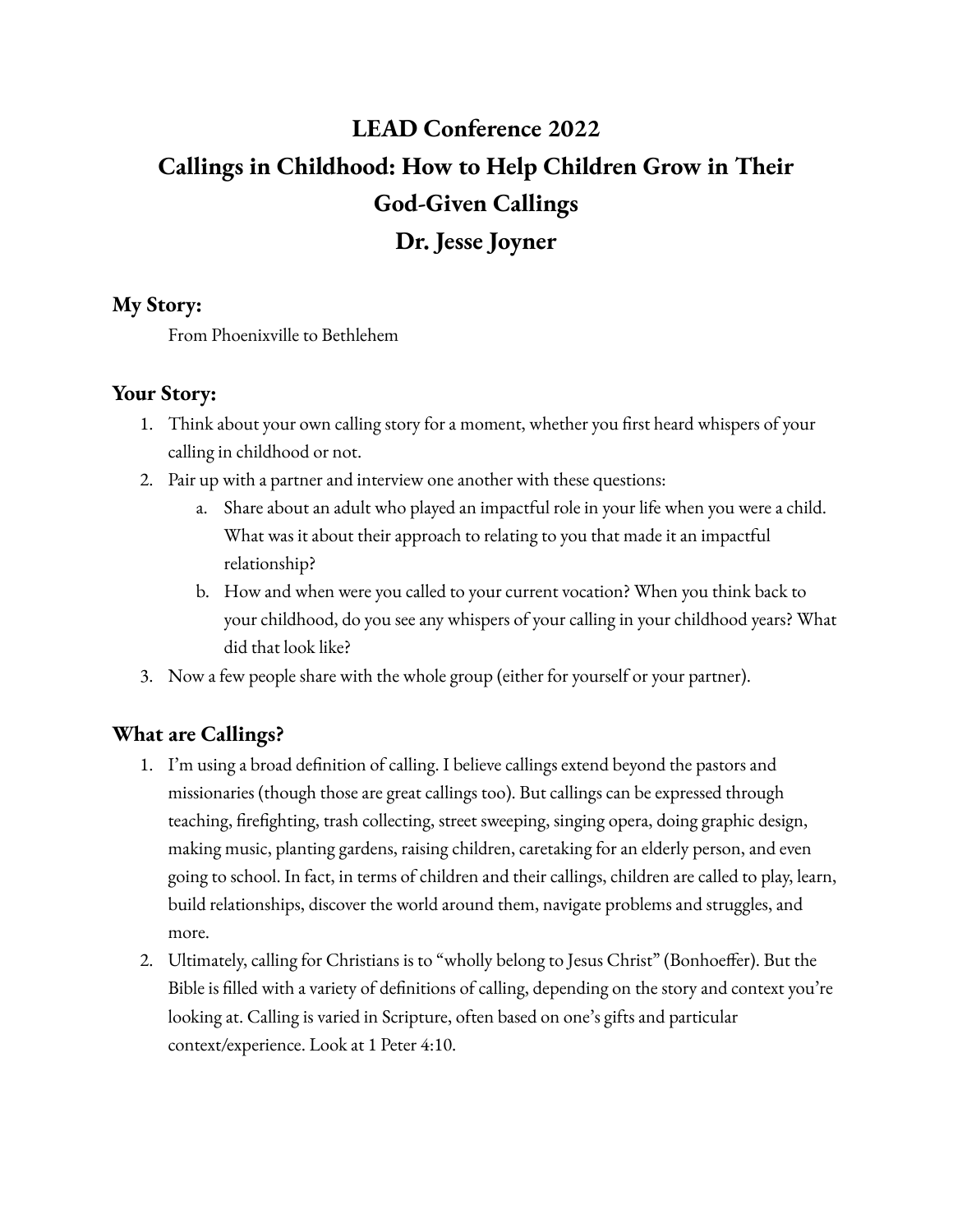# **LEAD Conference 2022 Callings in Childhood: How to Help Children Grow in Their God-Given Callings Dr. Jesse Joyner**

## **My Story:**

From Phoenixville to Bethlehem

## **Your Story:**

- 1. Think about your own calling story for a moment, whether you first heard whispers of your calling in childhood or not.
- 2. Pair up with a partner and interview one another with these questions:
	- Share about an adult who played an impactful role in your life when you were a child. What was it about their approach to relating to you that made it an impactful relationship?
	- b. How and when were you called to your current vocation? When you think back to your childhood, do you see any whispers of your calling in your childhood years? What did that look like?
- 3. Now a few people share with the whole group (either for yourself or your partner).

# **What are Callings?**

- 1. I'm using a broad definition of calling. I believe callings extend beyond the pastors and missionaries (though those are great callings too). But callings can be expressed through teaching, firefighting, trash collecting, street sweeping, singing opera, doing graphic design, making music, planting gardens, raising children, caretaking for an elderly person, and even going to school. In fact, in terms of children and their callings, children are called to play, learn, build relationships, discover the world around them, navigate problems and struggles, and more.
- 2. Ultimately, calling for Christians is to "wholly belong to Jesus Christ" (Bonhoeffer). But the Bible is filled with a variety of definitions of calling, depending on the story and context you're looking at. Calling is varied in Scripture, often based on one's gifts and particular context/experience. Look at 1 Peter 4:10.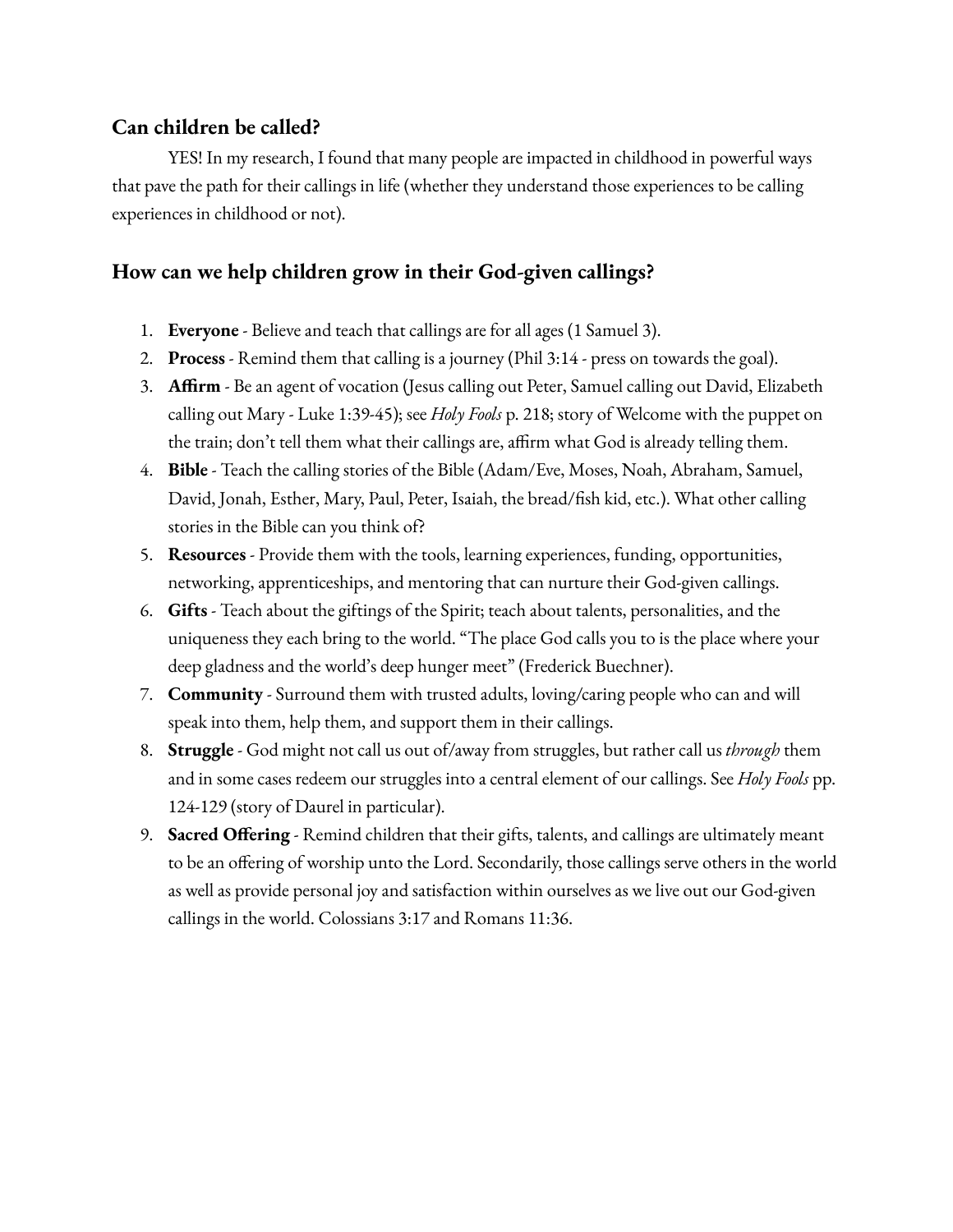### **Can children be called?**

YES! In my research, I found that many people are impacted in childhood in powerful ways that pave the path for their callings in life (whether they understand those experiences to be calling experiences in childhood or not).

## **How can we help children grow in their God-given callings?**

- 1. **Everyone** Believe and teach that callings are for all ages (1 Samuel 3).
- 2. **Process** Remind them that calling is a journey (Phil 3:14 press on towards the goal).
- 3. **Affirm** Be an agent of vocation (Jesus calling out Peter, Samuel calling out David, Elizabeth calling out Mary - Luke 1:39-45); see *Holy Fools* p. 218; story of Welcome with the puppet on the train; don't tell them what their callings are, affirm what God is already telling them.
- 4. **Bible** Teach the calling stories of the Bible (Adam/Eve, Moses, Noah, Abraham, Samuel, David, Jonah, Esther, Mary, Paul, Peter, Isaiah, the bread/fish kid, etc.). What other calling stories in the Bible can you think of?
- 5. **Resources** Provide them with the tools, learning experiences, funding, opportunities, networking, apprenticeships, and mentoring that can nurture their God-given callings.
- 6. **Gifts** Teach about the giftings of the Spirit; teach about talents, personalities, and the uniqueness they each bring to the world. "The place God calls you to is the place where your deep gladness and the world's deep hunger meet" (Frederick Buechner).
- 7. **Community** Surround them with trusted adults, loving/caring people who can and will speak into them, help them, and support them in their callings.
- 8. **Struggle** God might not call us out of/away from struggles, but rather call us *through* them and in some cases redeem our struggles into a central element of our callings. See *Holy Fools* pp. 124-129 (story of Daurel in particular).
- 9. **Sacred Offering** Remind children that their gifts, talents, and callings are ultimately meant to be an offering of worship unto the Lord. Secondarily, those callings serve others in the world as well as provide personal joy and satisfaction within ourselves as we live out our God-given callings in the world. Colossians 3:17 and Romans 11:36.